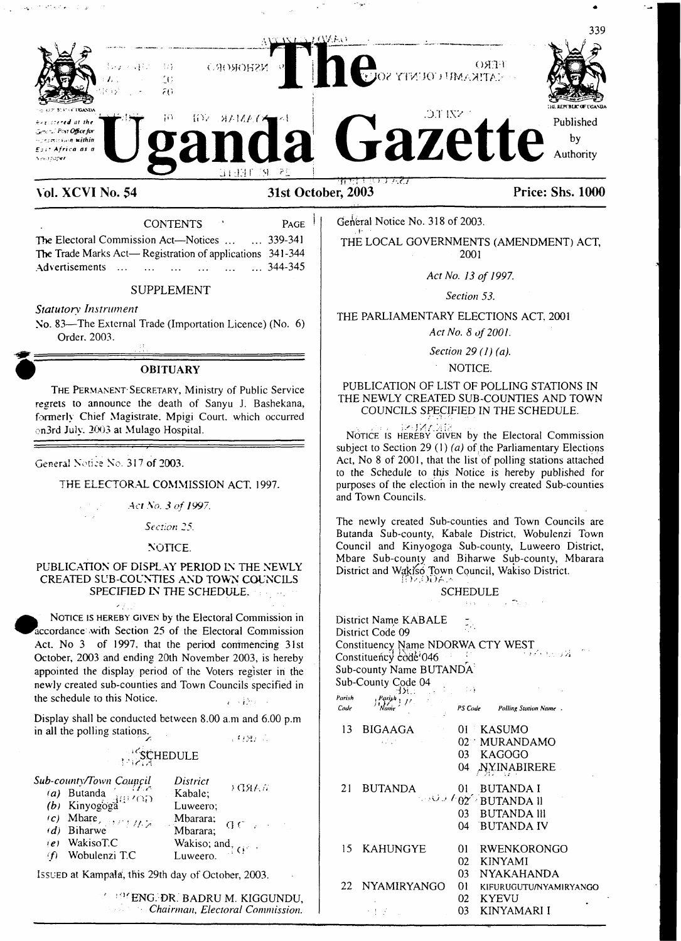

**Vol. XCVI No. 54 31st October, 2003 Price: Shs. 1000**

The Electoral Commission Act—Notices ................... 339-341 The Trade Marks Act— Registration of applications 341 -344 Advertisements ... ... ... ... ...

### SUPPLEMENT

*Statutory Instrument*

No. 83—The External Trade (Importation Licence) (No. 6) Order. 2003.

#### **OBITUARY**

The Permanent-Secretary, Ministry of Public Service regrets to announce the death of Sanyu J. Bashekana, formerly Chief Magistrate. Mpigi Court, which occurred on3rd July. 2003 at Mulago Hospital.

#### Genera! Notice No. 317 of 2003.

a da san antiga da san antiga da san antiga da san antiga da san antiga da san antiga da san antiga da san ant<br>Antiga da san antiga da san antiga da san antiga da san antiga da san antiga da san antiga da san antiga da sa

THE ELECTORAL COMMISSION ACT. 1997.

*Act No. 3 of 1997.*

*Section 25.*

NOTICE.

#### PUBLICATION OF DISPLAY PERIOD IN THE NEWLY CREATED SUB-COUNTIES AND TOWN COUNCILS SPECIFIED IN THE SCHEDULE.

 $\epsilon_{\rm L}$ NOTICE IS HEREBY GIVEN by the Electoral Commission in Accordance .with Section 25 of the Electoral Commission Act. No 3 of 1997. that the period commencing 31st October, 2003 and ending 20th November 2003, is hereby appointed the display period of the Voters register in the newly created sub-counties and Town Councils specified in the schedule to this Notice.

Display shall be conducted between 8.00 a.m and 6.00 p.m in all the polling stations.

 $\sqrt{\epsilon_{B}}$ 

# SCHEDULE<sup>®</sup>

| Sub-county/Town Council |                                         | District                                         |  |
|-------------------------|-----------------------------------------|--------------------------------------------------|--|
|                         | (a) Butanda $\frac{1}{1}$ (b) Kinyogoga | )(38人だ<br>Kabale;                                |  |
|                         |                                         | Luweero:                                         |  |
|                         |                                         |                                                  |  |
|                         |                                         | Mbarara; $\bigoplus$ C $\bigoplus$ C $\bigoplus$ |  |
|                         | $(e)$ WakisoT.C                         | Wakiso; and $\frac{1}{2}$ G <sup>o</sup>         |  |
| (f)                     | Wobulenzi T.C                           |                                                  |  |

Issued at Kampala, this 29th day of October, 2003.

ENG. DR. BADRU M. KIGGUNDU, *Chairman, Electoral Commission.*

CONTENTS  $P_{AGE}$  | General Notice No. 318 of 2003.

THE LOCAL GOVERNMENTS (AMENDMENT) ACT, 2001

*Act No. 13 of 1997.*

*Section 53.*

THE PARLIAMENTARY ELECTIONS ACT. 2001

*Act No. 8 of 2001.*

*Section 29 (1) (a).*

#### NOTICE.

#### PUBLICATION OF LIST OF POLLING STATIONS IN THE NEWLY CREATED SUB-COUNTIES AND TOWN COUNCILS SPECIFIED IN THE SCHEDULE.

Notice is hereby given by the Electoral Commission subject to Section 29 (1) (a) of the Parliamentary Elections Act, No 8 of 2001, that the list of polling stations attached to the Schedule to this Notice is hereby published for purposes of the election in the newly created Sub-counties and Town Councils.

The newly created Sub-counties and Town Councils are Butanda Sub-county, Kabale District, Wobulenzi Town Council and Kinyogoga Sub-county, Luweero District, Mbare Sub-county and Biharwe Sub-county, Mbarara District and Wakiso Town Council, Wakiso District.<br>
UP.OIDE

#### SCHEDULE  $\sim 70\,\mathrm{m}$ さくい

|                | District Name KABALE<br>District Code 09<br>Constituency Name NDORWA CTY WEST<br>Constituency code 046<br>Sub-county Name BUTANDA<br>Sub-County Code 04                                                                                                                                                          | ٣Ĥ,<br>i isla       | ก็มีคำ 55 วัน                                                                          |
|----------------|------------------------------------------------------------------------------------------------------------------------------------------------------------------------------------------------------------------------------------------------------------------------------------------------------------------|---------------------|----------------------------------------------------------------------------------------|
| Parish<br>Code | $\int_{1}^{Parish}$ $\int_{1}^{1}$ $\int_{1}^{1}$ $\int_{1}^{1}$ $\int_{1}^{1}$ $\int_{1}^{1}$ $\int_{1}^{1}$ $\int_{1}^{1}$ $\int_{1}^{1}$ $\int_{1}^{1}$ $\int_{1}^{1}$ $\int_{1}^{1}$ $\int_{1}^{1}$ $\int_{1}^{1}$ $\int_{1}^{1}$ $\int_{1}^{1}$ $\int_{1}^{1}$ $\int_{1}^{1}$ $\int_{1}^{1}$ $\int_{1}^{1}$ |                     | PS Code Polling Station Name.                                                          |
| 13.            | BIGAAGA<br>£list                                                                                                                                                                                                                                                                                                 | 04                  | 01 KASUMO<br>02 MURANDAMO<br>03 KAGOGO<br>NYINABIRERE                                  |
| 21             | BUTANDA                                                                                                                                                                                                                                                                                                          | 01.<br>04 -         | <b>BUTANDA I</b><br><b>COULT OZ EBUTANDA II</b><br>03 BUTANDA III<br><b>BUTANDA IV</b> |
| 15.            | <b>KAHUNGYE</b>                                                                                                                                                                                                                                                                                                  | 01.<br>02<br>$03 -$ | <b>RWENKORONGO</b><br><b>KINYAMI</b><br><b>NYAKAHANDA</b>                              |
| 22.            | <b>NYAMIRYANGO</b><br>デオーズ・バー                                                                                                                                                                                                                                                                                    | 01<br>02<br>03      | <b>KIFURUGUTU/NYAMIRYANGO</b><br><b>KYEVU</b><br>KINYAMARI I                           |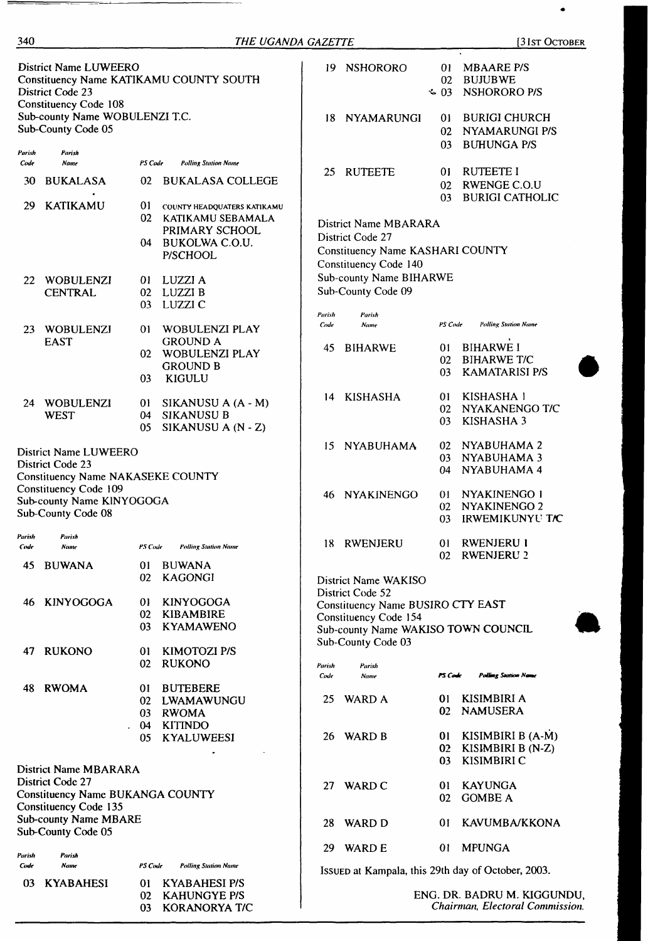| <b>District Name LUWEERO</b><br>Constituency Name KATIKAMU COUNTY SOUTH<br>District Code 23<br><b>Constituency Code 108</b> |                                                                             | 19.            | <b>NSHORORO</b>                                                                                         | 01.<br>02<br>$\sim 03$ | <b>MBAARE P/S</b><br>BUJUBWE<br>NSHORORO P/S                                                                                                |                            |                                                                 |
|-----------------------------------------------------------------------------------------------------------------------------|-----------------------------------------------------------------------------|----------------|---------------------------------------------------------------------------------------------------------|------------------------|---------------------------------------------------------------------------------------------------------------------------------------------|----------------------------|-----------------------------------------------------------------|
|                                                                                                                             | Sub-county Name WOBULENZI T.C.<br>Sub-County Code 05                        |                |                                                                                                         | 18                     | NYAMARUNGI                                                                                                                                  | 01<br>02<br>03             | <b>BURIGI CHURCH</b><br>NYAMARUNGI P/S<br><b>BUHUNGA P/S</b>    |
| Parish<br>Code                                                                                                              | Parish<br>Name                                                              | PS Code        | <b>Polling Station Name</b>                                                                             |                        | <b>RUTEETE</b>                                                                                                                              |                            | <b>RUTEETE I</b>                                                |
| 30                                                                                                                          | <b>BUKALASA</b>                                                             | 02             | <b>BUKALASA COLLEGE</b>                                                                                 | 25                     |                                                                                                                                             | 01<br>02<br>03             | <b>RWENGE C.O.U</b><br><b>BURIGI CATHOLIC</b>                   |
| 29                                                                                                                          | <b>KATIKAMU</b>                                                             | 01<br>02<br>04 | COUNTY HEADQUATERS KATIKAMU<br>KATIKAMU SEBAMALA<br>PRIMARY SCHOOL<br><b>BUKOLWA C.O.U.</b><br>P/SCHOOL |                        | District Name MBARARA<br>District Code 27<br>Constituency Name KASHARI COUNTY<br>Constituency Code 140                                      |                            |                                                                 |
| 22                                                                                                                          | WOBULENZI<br><b>CENTRAL</b>                                                 | 01<br>02<br>03 | LUZZI A<br>LUZZI B<br>LUZZI C                                                                           |                        | Sub-county Name BIHARWE<br>Sub-County Code 09                                                                                               |                            |                                                                 |
| 23                                                                                                                          | WOBULENZI                                                                   | 01             | WOBULENZI PLAY                                                                                          | Parish<br>Code         | Parish<br>Name                                                                                                                              | PS Code                    | <b>Polling Station Name</b>                                     |
|                                                                                                                             | <b>EAST</b>                                                                 | 02<br>03       | <b>GROUND A</b><br>WOBULENZI PLAY<br><b>GROUND B</b><br>KIGULU                                          | 45                     | <b>BIHARWE</b>                                                                                                                              | 01<br>02<br>03             | <b>BIHARWE I</b><br><b>BIHARWE T/C</b><br><b>KAMATARISI P/S</b> |
|                                                                                                                             | 24 WOBULENZI<br><b>WEST</b>                                                 | 01<br>04<br>05 | SIKANUSU A (A - M)<br><b>SIKANUSU B</b><br>SIKANUSU A (N - Z)                                           | 14                     | <b>KISHASHA</b>                                                                                                                             | 01<br>02<br>03             | KISHASHA 1<br>NYAKANENGO T/C<br>KISHASHA 3                      |
| District Name LUWEERO<br>District Code 23<br>Constituency Name NAKASEKE COUNTY                                              |                                                                             | 15             | <b>NYABUHAMA</b>                                                                                        | 02<br>03<br>04         | NYABUHAMA 2<br>NYABUHAMA 3<br>NYABUHAMA 4                                                                                                   |                            |                                                                 |
|                                                                                                                             | Constituency Code 109<br>Sub-county Name KINYOGOGA<br>Sub-County Code 08    |                |                                                                                                         | 46                     | <b>NYAKINENGO</b>                                                                                                                           | 0 <sub>1</sub><br>02<br>03 | NYAKINENGO I<br>NYAKINENGO 2<br>IRWEMIKUNYU TIC                 |
| Parish<br>Code                                                                                                              | Parish<br>Name                                                              | PS Code        | <b>Polling Station Name</b>                                                                             | 18.                    | RWENJERU                                                                                                                                    | 01<br>02                   | <b>RWENJERU I</b><br><b>RWENJERU 2</b>                          |
| 45                                                                                                                          | <b>BUWANA</b>                                                               | 01<br>02       | <b>BUWANA</b><br><b>KAGONGI</b>                                                                         |                        | District Name WAKISO                                                                                                                        |                            |                                                                 |
| 46                                                                                                                          | <b>KINYOGOGA</b>                                                            | 01<br>02<br>03 | <b>KINYOGOGA</b><br><b>KIBAMBIRE</b><br><b>KYAMAWENO</b>                                                |                        | District Code 52<br>Constituency Name BUSIRO CTY EAST<br>Constituency Code 154<br>Sub-county Name WAKISO TOWN COUNCIL<br>Sub-County Code 03 |                            |                                                                 |
| 47                                                                                                                          | <b>RUKONO</b>                                                               | 01<br>02       | KIMOTOZI P/S<br><b>RUKONO</b>                                                                           | Parish                 | Parish                                                                                                                                      |                            |                                                                 |
| 48                                                                                                                          | <b>RWOMA</b>                                                                | 01<br>02<br>03 | <b>BUTEBERE</b><br>LWAMAWUNGU<br><b>RWOMA</b>                                                           | Code<br>25             | Name<br><b>WARD A</b>                                                                                                                       | PS Code<br>01<br>02        | <b>Polling Station Name</b><br>KISIMBIRI A<br><b>NAMUSERA</b>   |
|                                                                                                                             |                                                                             | 04<br>05       | <b>KITINDO</b><br><b>KYALUWEESI</b>                                                                     | 26                     | WARD B                                                                                                                                      | $\mathbf{0}$<br>02<br>03   | KISIMBIRI B (A-M)<br>KISIMBIRI B (N-Z)<br><b>KISIMBIRI C</b>    |
| District Name MBARARA<br>District Code 27<br><b>Constituency Name BUKANGA COUNTY</b>                                        |                                                                             | 27             | WARD C                                                                                                  | 01<br>02               | <b>KAYUNGA</b><br><b>GOMBE A</b>                                                                                                            |                            |                                                                 |
|                                                                                                                             | Constituency Code 135<br><b>Sub-county Name MBARE</b><br>Sub-County Code 05 |                |                                                                                                         | 28                     | WARD D                                                                                                                                      | 01                         | KAVUMBA/KKONA                                                   |
| Parish                                                                                                                      | Parish                                                                      |                |                                                                                                         | 29                     | <b>WARD E</b>                                                                                                                               | 01                         | <b>MPUNGA</b>                                                   |
| Code                                                                                                                        | Name                                                                        | PS Code        | <b>Polling Station Name</b>                                                                             |                        |                                                                                                                                             |                            | ISSUED at Kampala, this 29th day of October, 2003.              |
| 03                                                                                                                          | <b>KYABAHESI</b>                                                            | 01             | <b>KYABAHESI P/S</b>                                                                                    |                        |                                                                                                                                             |                            |                                                                 |

 $\overline{\phantom{a}}$ 

340 *THE UGANDA GAZETTE* [31st October

02 KAHUNGYE P/S 03 KORANORYA T/C ENG. DR. BADRU M. KIGGUNDU, *Chairman, Electoral Commission.*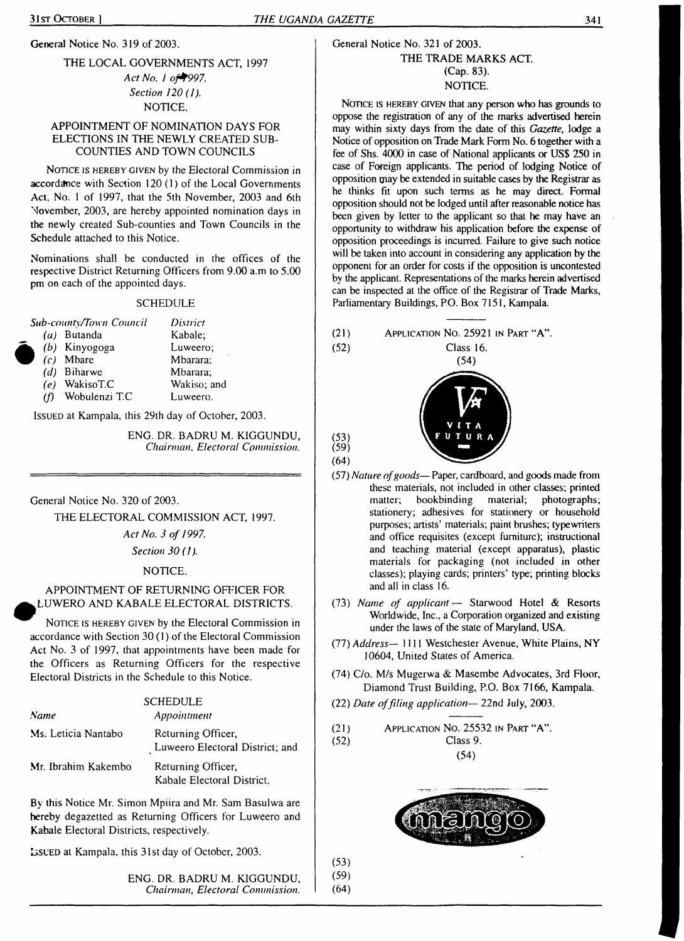General Notice No. 319 of 2003.

#### THE LOCAL GOVERNMENTS ACT, 1997

*Act No. <sup>1</sup> of+997. Section 120 (1).* NOTICE.

#### APPOINTMENT OF NOMINATION DAYS FOR ELECTIONS IN THE NEWLY CREATED SUB-COUNTIES AND TOWN COUNCILS

NOTICE IS HEREBY GIVEN by the Electoral Commission in accordance with Section 120 (1) of the Local Governments Act, No. <sup>1</sup> of 1997, that the 5th November, 2003 and 6th November, 2003, are hereby appointed nomination days in the newly created Sub-counties and Town Councils in the Schedule attached to this Notice.

Nominations shall be conducted in the offices of the respective District Returning Officers from 9.00 a.m to 5.00 pm on each of the appointed days.

#### **SCHEDULE**

|     | <b>Sub-county/Town Council</b> | District    |
|-----|--------------------------------|-------------|
|     | $(a)$ Butanda                  | Kabale:     |
|     | $(b)$ Kinyogoga                | Luweero:    |
|     | $(c)$ Mbare                    | Mbarara;    |
|     | $(d)$ Biharwe                  | Mbarara;    |
|     | $(e)$ WakisoT.C                | Wakiso; and |
| (f) | Wobulenzi T.C                  | Luweero.    |

Issued at Kampala, this 29th day of October, 2003.

ENG. DR. BADRU M. KIGGUNDU, *Chairman, Electoral Commission.*

General Notice No. 320 of 2003.

THE ELECTORAL COMMISSION ACT, 1997.

*Act No. 3 of 1997.*

*Section 30 (1).*

NOTICE.

#### APPOINTMENT OF RETURNING OFFICER FOR ^LUWERO AND KABALE ELECTORAL DISTRICTS.

NOTICE IS HEREBY GIVEN by the Electoral Commission in accordance with Section 30 (1) of the Electoral Commission Act No. 3 of 1997, that appointments have been made for the Officers as Returning Officers for the respective Electoral Districts in the Schedule to this Notice.

|                     | <b>SCHEDULE</b>                                       |
|---------------------|-------------------------------------------------------|
| Name                | Appointment                                           |
| Ms. Leticia Nantabo | Returning Officer,<br>Luweero Electoral District; and |
| Mr. Ibrahim Kakembo | Returning Officer,<br>Kabale Electoral District.      |

By this Notice Mr. Simon Mpiira and Mr. Sam Basulwa are hereby degazetted as Returning Officers for Luweero and Kabale Electoral Districts, respectively.

Issued at Kampala, this 31st day of October, 2003.

ENG. DR. BADRU M. KIGGUNDU, *Chairman, Electoral Commission.*

#### General Notice No. 321 of 2003. THE TRADE MARKS ACT. (Cap. 83). NOTICE.

NOTICE IS HEREBY GIVEN that any person who has grounds to oppose the registration of any of the marks advertised herein may within sixty days from the date of this *Gazette,* lodge a Notice of opposition on Trade Mark Form No. 6 together with a fee of Shs. 4000 in case of National applicants or US\$ 250 in case of Foreign applicants. The period of lodging Notice of opposition may be extended in suitable cases by the Registrar as he thinks fit upon such terms as he may direct. Formal opposition should not be lodged until after reasonable notice has been given by letter to the applicant so that he may have an opportunity to withdraw his application before the expense of opposition proceedings is incurred. Failure to give such notice will be taken into account in considering any application by the opponent for an order for costs if the opposition is uncontested by the applicant. Representations of the marks herein advertised can be inspected at the office of the Registrar of Trade Marks, Parliamentary Buildings, P.O. Box 7151, Kampala.



# $(54)$



(53) (59) (64)

(53) (59) (64)

- (57) *Nature ofgoods—* Paper, cardboard, and goods made from these materials, not included in other classes; printed matter; bookbinding material; photographs; stationery; adhesives for stationery or household purposes; artists' materials; paint brushes; typewriters and office requisites (except furniture); instructional and teaching material (except apparatus), plastic materials for packaging (not included in other classes); playing cards; printers' type; printing blocks and all in class 16.
- (73) *Name of applicant —* Starwood Hotel & Resorts Worldwide, Inc., a Corporation organized and existing under the laws of the state of Maryland, USA.
- (77) *Address—* 1111 Westchester Avenue, White Plains, NY 10604, United States of America.
- (74) C/o. M/s Mugerwa & Masembe Advocates, 3rd Floor, Diamond Trust Building, P.O. Box 7166, Kampala.
- (22) *Date offiling application—* 22nd July, 2003.

| (21) | APPLICATION NO. 25532 IN PART "A". |
|------|------------------------------------|
| (52) | Class 9.                           |
|      | (54)                               |

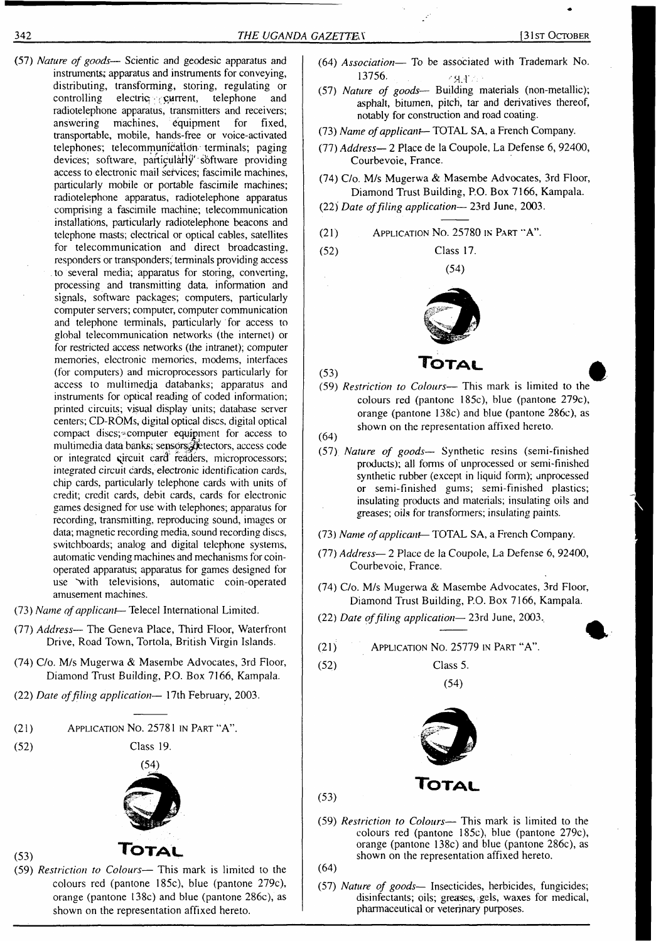- (57) *Nature of goods* Scientic and geodesic apparatus and instruments; apparatus and instruments for conveying, distributing, transforming, storing, regulating or controlling electric  $\gamma$  current, telephone and radiotelephone apparatus, transmitters and receivers; answering machines, equipment for fixed, transportable, mobile, hands-free or voice-activated telephones; telecommunication terminals; paging devices; software, particularly software providing access to electronic mail services; fascimile machines, particularly mobile or portable fascimile machines; radiotelephone apparatus, radiotelephone apparatus comprising a fascimile machine; telecommunication installations, particularly radiotelephone beacons and telephone masts; electrical or optical cables, satellites for telecommunication and direct broadcasting, responders or transponders; terminals providing access to several media; apparatus for storing, converting, processing and transmitting data, information and signals, software packages; computers, particularly computer servers; computer, computer communication and telephone terminals, particularly for access to global telecommunication networks (the internet) or for restricted access networks (the intranet); computer memories, electronic memories, modems, interfaces (for computers) and microprocessors particularly for access to multimedia databanks; apparatus and instruments for optical reading of coded information; printed circuits; visual display units; database server centers; CD-ROMs, digital optical discs, digital optical compact discs;-computer equipment for access to multimedia data banks; sensors. detectors, access code or integrated qircuit card' readers, microprocessors; integrated circuit cards, electronic identification cards, chip cards, particularly telephone cards with units of credit; credit cards, debit cards, cards for electronic games designed for use with telephones; apparatus for recording, transmitting, reproducing sound, images or data; magnetic recording media, sound recording discs, switchboards; analog and digital telephone systems, automatic vending machines and mechanisms for coinoperated apparatus; apparatus for games designed for use "with televisions, automatic coin-operated amusement machines.
- (73) *Name ofapplicant* Telecel International Limited.
- (77) *Address—* The Geneva Place, Third Floor, Waterfront Drive, Road Town, Tortola, British Virgin Islands.
- (74) C/o. M/s Mugerwa & Masembe Advocates, 3rd Floor, Diamond Trust Building, P.O. Box 7166, Kampala.
- (22) *Date offiling application—* 17th February, 2003.
- (21) Application No. 25781 in Part "A".

(52) Class 19.



# (53) **Total**

(59) *Restriction to Colours—* This mark is limited to the colours red (pantone 185c), blue (pantone 279c), orange (pantone 138c) and blue (pantone 286c), as shown on the representation affixed hereto.

- (64) *Association—* To be associated with Trademark No. 13756. 49. P
- (57) *Nature of goods—* Building materials (non-metallic); asphalt, bitumen, pitch, tar and derivatives thereof, notably for construction and road coating.
- (73) *Name ofapplicant—* TOTAL SA, a French Company.
- (77) *Address—* 2 Place de la Coupole, La Defense 6, 92400, Courbevoie, France.
- (74) C/o. M/s Mugerwa & Masembe Advocates, 3rd Floor, Diamond Trust Building, P.O. Box 7166, Kampala.
- (22) *Date offiling application—* 23rd June, 2003.
- Application No. 25780 in Part "A". (21)

Class 17. (54)



- (59) *Restriction to Colours—* This mark is limited to the colours red (pantone 185c), blue (pantone 279c), orange (pantone 138c) and blue (pantone 286c), as shown on the representation affixed hereto.
- (64)

(53)

(52)

- (57) *Nature of goods—* Synthetic resins (semi-finished products); all forms of unprocessed or semi-finished synthetic rubber (except in liquid form); unprocessed or semi-finished gums; semi-finished plastics; insulating products and materials; insulating oils and greases; oils for transformers; insulating paints.
- (73) Name of applicant-TOTAL SA, a French Company.
- (77) *Address—* 2 Place de la Coupole, La Defense 6, 92400, Courbevoie, France.
- (74) C/o. M/s Mugerwa & Masembe Advocates, 3rd Floor, Diamond Trust Building, P.O. Box 7166, Kampala.
- (22) *Date offiling application—* 23rd June, 2003.

(21) Application No. 25779 in Part "A".

(52) Class 5.





(59) *Restriction to Colours—* This mark is limited to the colours red (pantone 185c), blue (pantone 279c), orange (pantone 138c) and blue (pantone 286c), as shown on the representation affixed hereto.

(64)

(53)

(57) *Nature of goods—* Insecticides, herbicides, fungicides; disinfectants; oils; greases, gels, waxes for medical, pharmaceutical or veterinary purposes.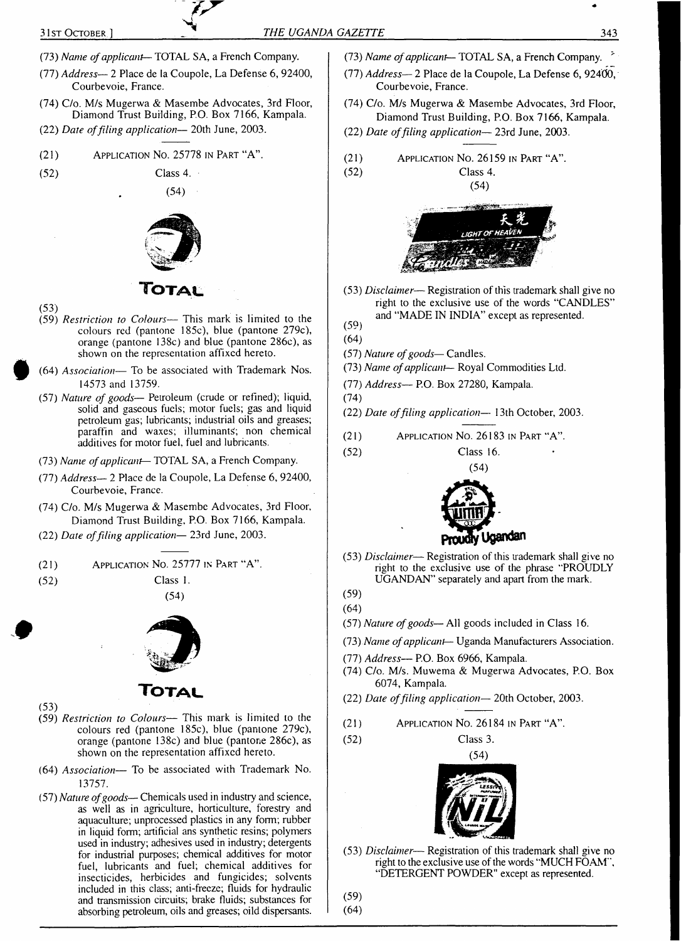- (73) *Name ofapplicant—* TOTAL SA, a French Company.
- (77) *Address—* 2 Place de la Coupole, La Defense 6, 92400, Courbevoie, France.
- (74) C/o. M/s Mugerwa & Masembe Advocates, 3rd Floor, Diamond Trust Building, P.O. Box 7166, Kampala.
- (22) *Date offiling application—* 20th June, 2003.
- (21) Application No. 25778 in Part "A".

(52) Class 4.

(53)

(54)



- (59) *Restriction to Colours—* This mark is limited to the colours red (pantone 185c), blue (pantone 279c), orange (pantone 138c) and blue (pantone 286c), as shown on the representation affixed hereto.
- (64) *Association—* To be associated with Trademark Nos. 14573 and 13759.
- (57) *Nature of goods—* Petroleum (crude or refined); liquid, solid and gaseous fuels; motor fuels; gas and liquid petroleum gas; lubricants; industrial oils and greases; paraffin and waxes; illuminants; non chemical additives for motor fuel, fuel and lubricants.
- (73) *Name ofapplicant—* TOTAL SA, a French Company.
- (77) *Address—* 2 Place de la Coupole, La Defense 6, 92400, Courbevoie, France.
- (74) C/o. M/s Mugerwa & Masembe Advocates, 3rd Floor, Diamond Trust Building, P.O. Box 7166, Kampala.
- (22) *Date offiling application—* 23rd June, 2003.
- (21) Application No. 25777 in Part "A".

(52) Class 1.

(54)



## **Totau**

- (53)
- (59) *Restriction to Colours—* This mark is limited to the colours red (pantone 185c), blue (panione 279c), orange (pantone 138c) and blue (pantone 286c), as shown on the representation affixed hereto.
- (64) *Association—* To be associated with Trademark No. 13757.
- (57) *Nature ofgoods—* Chemicals used in industry and science, as well as in agriculture, horticulture, forestry and aquaculture; unprocessed plastics in any form; rubber in liquid form; artificial ans synthetic resins; polymers used in industry; adhesives used in industry; detergents for industrial purposes; chemical additives for motor fuel, lubricants and fuel; chemical additives for insecticides, herbicides and fungicides; solvents included in this class; anti-freeze; fluids for hydraulic and transmission circuits; brake fluids; substances for absorbing petroleum, oils and greases; oild dispersants.
- (73) *Name ofapplicant—* TOTAL SA, a French Company. "
- (77) *Address— 2* Place de la Coupole, La Defense 6, 92400, Courbevoie, France.
- (74) C/o. M/s Mugerwa & Masembe Advocates, 3rd Floor, Diamond Trust Building, P.O. Box 7166, Kampala.
- (22) *Date offiling application—* 23rd June, 2003.

$$
(21) \t\t\tAPPLICATION NO. 26159 IN PART "A".\n
$$
(52) \t\t\tClass 4.
$$
$$

(54)



(53) *Disclaimer*— Registration ofthis trademark shall give no right to the exclusive use of the words "CANDLES" and "MADE IN INDIA" except as represented.

#### (59) (64)

- (57) *Nature ofgoods—* Candles.
- (73) *Name ofapplicant—* Royal Commodities Ltd.
- (77) *Address—* P.O. Box 27280, Kampala.
- (74)
- (22) *Date offiling application—* 13th October, 2003.
- (21) Application No. 26183 in Part "A".
- (52) Class 16.



- (53) *Disclaimer* Registration of this trademark shall give no right to the exclusive use of the phrase "PROUDLY UGANDAN" separately and apart from the mark.
- (59) (64)
- (57) *Nature ofgoods—* All goods included in Class 16.
- (73) *Name ofapplicant—* Uganda Manufacturers Association.
- (77) *Address—* P.O. Box 6966, Kampala.
- (74) C/o. M/s. Muwema & Mugerwa Advocates, P.O. Box 6074, Kampala.
- (22) *Date offiling application—* 20th October, 2003.
- (21) Application No. 26184 in Part "A".
- (52) Class 3.



(53) *Disclaimer*— Registration of this trademark shall give no right to the exclusive use of the words "MUCH FOAM", "DETERGENT POWDER" except as represented.

(59)

(64)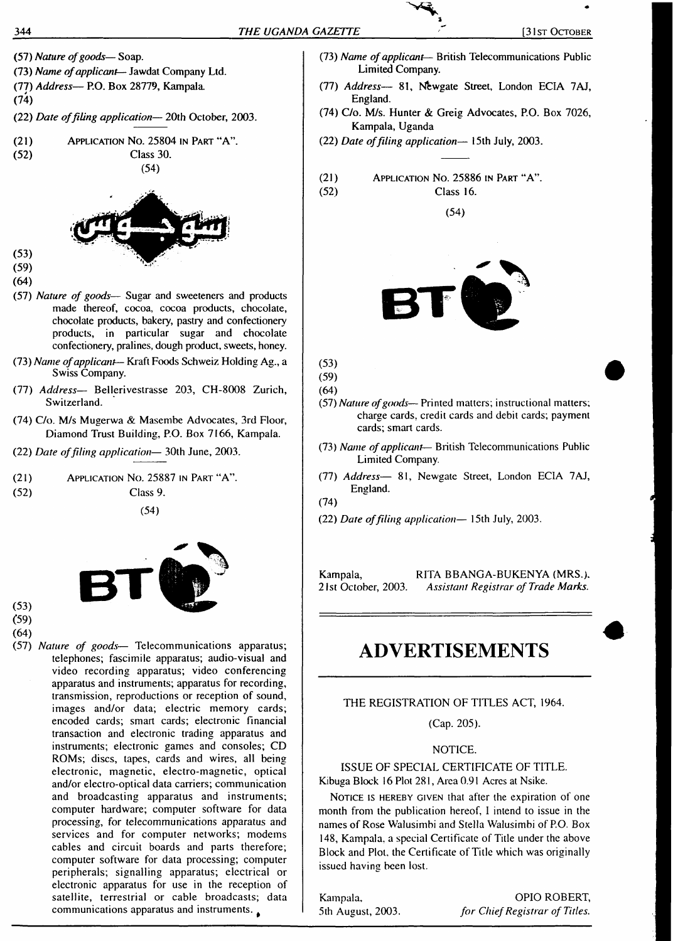- (57) *Nature ofgoods* Soap.
- (73) *Name ofapplicant—* Jawdat Company Ltd.
- (77) *Address—* P.O. Box 28779, Kampala.
- (74)
- (22) *Date offiling application—* 20th October, 2003.
- (21) Application No. 25804 in Part "A".  $(54)$



 $(59)$  $(64)$ 

 $(53)$ 

- (57) *Nature of goods* Sugar and sweeteners and products made thereof, cocoa, cocoa products, chocolate, chocolate products, bakery, pastry and confectionery products, in particular sugar and chocolate confectionery, pralines, dough product, sweets, honey.
- (73) *Name ofapplicant* Kraft Foods Schweiz Holding Ag., a Swiss Company.
- (77) *Address—* Bellerivestrasse 203, CH-8008 Zurich, Switzerland.
- (74) C/o. M/s Mugerwa & Masembe Advocates, 3rd Floor, Diamond Trust Building, P.O. Box 7166, Kampala.
- (22) *Date offiling application—* 30th June, 2003.
- (21) Application No. 25887 in Part "A".
- (52) Class 9.

(54)



- (53) (59)
- (64)
- (57) *Nature of goods* Telecommunications apparatus; telephones; fascimile apparatus; audio-visual and video recording apparatus; video conferencing apparatus and instruments; apparatus for recording, transmission, reproductions or reception of sound, images and/or data; electric memory cards; encoded cards; smart cards; electronic financial transaction and electronic trading apparatus and instruments; electronic games and consoles; CD ROMs; discs, tapes, cards and wires, all being electronic, magnetic, electro-magnetic, optical and/or electro-optical data carriers; communication and broadcasting apparatus and instruments; computer hardware; computer software for data processing, for telecommunications apparatus and services and for computer networks; modems cables and circuit boards and parts therefore; computer software for data processing; computer peripherals; signalling apparatus; electrical or electronic apparatus for use in the reception of satellite, terrestrial or cable broadcasts; data communications apparatus and instruments.
- (73) *Name ofapplicant* British Telecommunications Public Limited Company.
- (77) *Address—* 81, Newgate Street, London ECIA 7AJ, England.
- (74) C/o. M/s. Hunter & Greig Advocates, P.O. Box 7026, Kampala, Uganda
- (22) *Date offiling application—* 15th July, 2003.
- (21) (52) Application No. 25886 in Part "A". Class 16.

(54)



(53) (59)

- (64)
- (57) *Nature ofgoods* Printed matters; instructional matters; charge cards, credit cards and debit cards; payment cards; smart cards.
- (73) *Name ofapplicant* British Telecommunications Public Limited Company.
- (77) *Address—* 81, Newgate Street, London ECIA 7AJ, England.

(74)

(22) *Date offiling application—* 15th July, 2003.

Kampala, RITA BBANGA-BUKENYA (MRS.). 21st October, 2003. *Assistant Registrar of Trade Marks.*

# **ADVERTISEMENTS**

#### THE REGISTRATION OF TITLES ACT, 1964.

(Cap. 205).

#### NOTICE.

ISSUE OF SPECIAL CERTIFICATE OF TITLE. Kibuga Block 16 Plot 281, Area 0.91 Acres at Nsike.

NOTICE IS HEREBY GIVEN that after the expiration of one month from the publication hereof, <sup>1</sup> intend to issue in the names of Rose Walusimbi and Stella Walusimbi of P.O. Box 148, Kampala, a special Certificate of Title under the above Block and Plot, the Certificate of Title which was originally issued having been lost.

Kampala, 5th August, 2003.

OPIO ROBERT, *for ChiefRegistrar of Titles.*